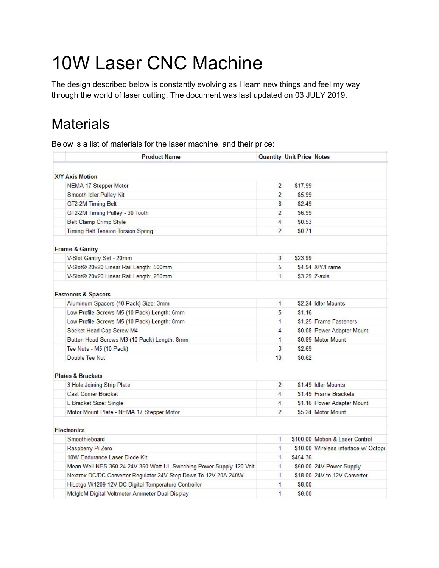# 10W Laser CNC Machine

The design described below is constantly evolving as I learn new things and feel my way through the world of laser cutting. The document was last updated on 03 JULY 2019.

## **Materials**

Below is a list of materials for the laser machine, and their price:

| <b>X/Y Axis Motion</b><br>$\overline{2}$<br>\$17.99<br>NEMA 17 Stepper Motor<br>$\overline{2}$<br>\$5.99<br>Smooth Idler Pulley Kit<br>8<br>\$2.49<br>GT2-2M Timing Belt<br>GT2-2M Timing Pulley - 30 Tooth<br>2<br>\$6.99<br><b>Belt Clamp Crimp Style</b><br>4<br>\$0.53<br>Timing Belt Tension Torsion Spring<br>$\overline{2}$<br>\$0.71<br><b>Frame &amp; Gantry</b><br>V-Slot Gantry Set - 20mm<br>3<br>\$23.99<br>V-Slot® 20x20 Linear Rail Length: 500mm<br>5<br>\$4.94 X/Y/Frame<br>V-Slot® 20x20 Linear Rail Length: 250mm<br>\$3.29 Z-axis<br>$\mathbf{1}$<br><b>Fasteners &amp; Spacers</b><br>\$2.24 Idler Mounts<br>Aluminum Spacers (10 Pack) Size: 3mm<br>$\mathbf{1}$<br>5<br>\$1.16<br>Low Profile Screws M5 (10 Pack) Length: 6mm<br>$\blacksquare$<br>\$1.25 Frame Fasteners<br>Low Profile Screws M5 (10 Pack) Length: 8mm<br>Socket Head Cap Screw M4<br>4<br>\$0.08 Power Adapter Mount<br>Button Head Screws M3 (10 Pack) Length: 8mm<br>1<br>\$0.89 Motor Mount<br>3<br>\$2.69<br>Tee Nuts - M5 (10 Pack)<br>Double Tee Nut<br>10<br>\$0.62<br><b>Plates &amp; Brackets</b><br>$\overline{2}$<br>\$1.49 Idler Mounts<br>3 Hole Joining Strip Plate<br><b>Cast Corner Bracket</b><br>$\overline{4}$<br>\$1.49 Frame Brackets<br>L Bracket Size: Single<br>$\overline{4}$<br>\$1.16 Power Adapter Mount<br>$\overline{2}$<br>\$5.24 Motor Mount<br>Motor Mount Plate - NEMA 17 Stepper Motor<br><b>Electronics</b><br>Smoothieboard<br>\$100.00 Motion & Laser Control<br>$\mathbf{1}$<br>$\mathbf{1}$<br>Raspberry Pi Zero<br>\$10.00 Wireless interface w/ Octopi<br>10W Endurance Laser Diode Kit<br>1<br>\$454.36<br>Mean Well NES-350-24 24V 350 Watt UL Switching Power Supply 120 Volt<br>\$50.00 24V Power Supply<br>$\mathbf{1}$<br>Nextrox DC/DC Converter Regulator 24V Step Down To 12V 20A 240W<br>1<br>\$18.00 24V to 12V Converter | <b>Product Name</b>                                 | <b>Quantity Unit Price Notes</b> |  |
|--------------------------------------------------------------------------------------------------------------------------------------------------------------------------------------------------------------------------------------------------------------------------------------------------------------------------------------------------------------------------------------------------------------------------------------------------------------------------------------------------------------------------------------------------------------------------------------------------------------------------------------------------------------------------------------------------------------------------------------------------------------------------------------------------------------------------------------------------------------------------------------------------------------------------------------------------------------------------------------------------------------------------------------------------------------------------------------------------------------------------------------------------------------------------------------------------------------------------------------------------------------------------------------------------------------------------------------------------------------------------------------------------------------------------------------------------------------------------------------------------------------------------------------------------------------------------------------------------------------------------------------------------------------------------------------------------------------------------------------------------------------------------------------------------------------------------------------------------------------------------|-----------------------------------------------------|----------------------------------|--|
|                                                                                                                                                                                                                                                                                                                                                                                                                                                                                                                                                                                                                                                                                                                                                                                                                                                                                                                                                                                                                                                                                                                                                                                                                                                                                                                                                                                                                                                                                                                                                                                                                                                                                                                                                                                                                                                                          |                                                     |                                  |  |
|                                                                                                                                                                                                                                                                                                                                                                                                                                                                                                                                                                                                                                                                                                                                                                                                                                                                                                                                                                                                                                                                                                                                                                                                                                                                                                                                                                                                                                                                                                                                                                                                                                                                                                                                                                                                                                                                          |                                                     |                                  |  |
|                                                                                                                                                                                                                                                                                                                                                                                                                                                                                                                                                                                                                                                                                                                                                                                                                                                                                                                                                                                                                                                                                                                                                                                                                                                                                                                                                                                                                                                                                                                                                                                                                                                                                                                                                                                                                                                                          |                                                     |                                  |  |
|                                                                                                                                                                                                                                                                                                                                                                                                                                                                                                                                                                                                                                                                                                                                                                                                                                                                                                                                                                                                                                                                                                                                                                                                                                                                                                                                                                                                                                                                                                                                                                                                                                                                                                                                                                                                                                                                          |                                                     |                                  |  |
|                                                                                                                                                                                                                                                                                                                                                                                                                                                                                                                                                                                                                                                                                                                                                                                                                                                                                                                                                                                                                                                                                                                                                                                                                                                                                                                                                                                                                                                                                                                                                                                                                                                                                                                                                                                                                                                                          |                                                     |                                  |  |
|                                                                                                                                                                                                                                                                                                                                                                                                                                                                                                                                                                                                                                                                                                                                                                                                                                                                                                                                                                                                                                                                                                                                                                                                                                                                                                                                                                                                                                                                                                                                                                                                                                                                                                                                                                                                                                                                          |                                                     |                                  |  |
|                                                                                                                                                                                                                                                                                                                                                                                                                                                                                                                                                                                                                                                                                                                                                                                                                                                                                                                                                                                                                                                                                                                                                                                                                                                                                                                                                                                                                                                                                                                                                                                                                                                                                                                                                                                                                                                                          |                                                     |                                  |  |
|                                                                                                                                                                                                                                                                                                                                                                                                                                                                                                                                                                                                                                                                                                                                                                                                                                                                                                                                                                                                                                                                                                                                                                                                                                                                                                                                                                                                                                                                                                                                                                                                                                                                                                                                                                                                                                                                          |                                                     |                                  |  |
|                                                                                                                                                                                                                                                                                                                                                                                                                                                                                                                                                                                                                                                                                                                                                                                                                                                                                                                                                                                                                                                                                                                                                                                                                                                                                                                                                                                                                                                                                                                                                                                                                                                                                                                                                                                                                                                                          |                                                     |                                  |  |
|                                                                                                                                                                                                                                                                                                                                                                                                                                                                                                                                                                                                                                                                                                                                                                                                                                                                                                                                                                                                                                                                                                                                                                                                                                                                                                                                                                                                                                                                                                                                                                                                                                                                                                                                                                                                                                                                          |                                                     |                                  |  |
|                                                                                                                                                                                                                                                                                                                                                                                                                                                                                                                                                                                                                                                                                                                                                                                                                                                                                                                                                                                                                                                                                                                                                                                                                                                                                                                                                                                                                                                                                                                                                                                                                                                                                                                                                                                                                                                                          |                                                     |                                  |  |
|                                                                                                                                                                                                                                                                                                                                                                                                                                                                                                                                                                                                                                                                                                                                                                                                                                                                                                                                                                                                                                                                                                                                                                                                                                                                                                                                                                                                                                                                                                                                                                                                                                                                                                                                                                                                                                                                          |                                                     |                                  |  |
|                                                                                                                                                                                                                                                                                                                                                                                                                                                                                                                                                                                                                                                                                                                                                                                                                                                                                                                                                                                                                                                                                                                                                                                                                                                                                                                                                                                                                                                                                                                                                                                                                                                                                                                                                                                                                                                                          |                                                     |                                  |  |
|                                                                                                                                                                                                                                                                                                                                                                                                                                                                                                                                                                                                                                                                                                                                                                                                                                                                                                                                                                                                                                                                                                                                                                                                                                                                                                                                                                                                                                                                                                                                                                                                                                                                                                                                                                                                                                                                          |                                                     |                                  |  |
|                                                                                                                                                                                                                                                                                                                                                                                                                                                                                                                                                                                                                                                                                                                                                                                                                                                                                                                                                                                                                                                                                                                                                                                                                                                                                                                                                                                                                                                                                                                                                                                                                                                                                                                                                                                                                                                                          |                                                     |                                  |  |
|                                                                                                                                                                                                                                                                                                                                                                                                                                                                                                                                                                                                                                                                                                                                                                                                                                                                                                                                                                                                                                                                                                                                                                                                                                                                                                                                                                                                                                                                                                                                                                                                                                                                                                                                                                                                                                                                          |                                                     |                                  |  |
|                                                                                                                                                                                                                                                                                                                                                                                                                                                                                                                                                                                                                                                                                                                                                                                                                                                                                                                                                                                                                                                                                                                                                                                                                                                                                                                                                                                                                                                                                                                                                                                                                                                                                                                                                                                                                                                                          |                                                     |                                  |  |
|                                                                                                                                                                                                                                                                                                                                                                                                                                                                                                                                                                                                                                                                                                                                                                                                                                                                                                                                                                                                                                                                                                                                                                                                                                                                                                                                                                                                                                                                                                                                                                                                                                                                                                                                                                                                                                                                          |                                                     |                                  |  |
|                                                                                                                                                                                                                                                                                                                                                                                                                                                                                                                                                                                                                                                                                                                                                                                                                                                                                                                                                                                                                                                                                                                                                                                                                                                                                                                                                                                                                                                                                                                                                                                                                                                                                                                                                                                                                                                                          |                                                     |                                  |  |
|                                                                                                                                                                                                                                                                                                                                                                                                                                                                                                                                                                                                                                                                                                                                                                                                                                                                                                                                                                                                                                                                                                                                                                                                                                                                                                                                                                                                                                                                                                                                                                                                                                                                                                                                                                                                                                                                          |                                                     |                                  |  |
|                                                                                                                                                                                                                                                                                                                                                                                                                                                                                                                                                                                                                                                                                                                                                                                                                                                                                                                                                                                                                                                                                                                                                                                                                                                                                                                                                                                                                                                                                                                                                                                                                                                                                                                                                                                                                                                                          |                                                     |                                  |  |
|                                                                                                                                                                                                                                                                                                                                                                                                                                                                                                                                                                                                                                                                                                                                                                                                                                                                                                                                                                                                                                                                                                                                                                                                                                                                                                                                                                                                                                                                                                                                                                                                                                                                                                                                                                                                                                                                          |                                                     |                                  |  |
|                                                                                                                                                                                                                                                                                                                                                                                                                                                                                                                                                                                                                                                                                                                                                                                                                                                                                                                                                                                                                                                                                                                                                                                                                                                                                                                                                                                                                                                                                                                                                                                                                                                                                                                                                                                                                                                                          |                                                     |                                  |  |
|                                                                                                                                                                                                                                                                                                                                                                                                                                                                                                                                                                                                                                                                                                                                                                                                                                                                                                                                                                                                                                                                                                                                                                                                                                                                                                                                                                                                                                                                                                                                                                                                                                                                                                                                                                                                                                                                          |                                                     |                                  |  |
|                                                                                                                                                                                                                                                                                                                                                                                                                                                                                                                                                                                                                                                                                                                                                                                                                                                                                                                                                                                                                                                                                                                                                                                                                                                                                                                                                                                                                                                                                                                                                                                                                                                                                                                                                                                                                                                                          |                                                     |                                  |  |
|                                                                                                                                                                                                                                                                                                                                                                                                                                                                                                                                                                                                                                                                                                                                                                                                                                                                                                                                                                                                                                                                                                                                                                                                                                                                                                                                                                                                                                                                                                                                                                                                                                                                                                                                                                                                                                                                          |                                                     |                                  |  |
|                                                                                                                                                                                                                                                                                                                                                                                                                                                                                                                                                                                                                                                                                                                                                                                                                                                                                                                                                                                                                                                                                                                                                                                                                                                                                                                                                                                                                                                                                                                                                                                                                                                                                                                                                                                                                                                                          |                                                     |                                  |  |
|                                                                                                                                                                                                                                                                                                                                                                                                                                                                                                                                                                                                                                                                                                                                                                                                                                                                                                                                                                                                                                                                                                                                                                                                                                                                                                                                                                                                                                                                                                                                                                                                                                                                                                                                                                                                                                                                          |                                                     |                                  |  |
|                                                                                                                                                                                                                                                                                                                                                                                                                                                                                                                                                                                                                                                                                                                                                                                                                                                                                                                                                                                                                                                                                                                                                                                                                                                                                                                                                                                                                                                                                                                                                                                                                                                                                                                                                                                                                                                                          |                                                     |                                  |  |
|                                                                                                                                                                                                                                                                                                                                                                                                                                                                                                                                                                                                                                                                                                                                                                                                                                                                                                                                                                                                                                                                                                                                                                                                                                                                                                                                                                                                                                                                                                                                                                                                                                                                                                                                                                                                                                                                          |                                                     |                                  |  |
|                                                                                                                                                                                                                                                                                                                                                                                                                                                                                                                                                                                                                                                                                                                                                                                                                                                                                                                                                                                                                                                                                                                                                                                                                                                                                                                                                                                                                                                                                                                                                                                                                                                                                                                                                                                                                                                                          |                                                     |                                  |  |
| 1<br>\$8.00                                                                                                                                                                                                                                                                                                                                                                                                                                                                                                                                                                                                                                                                                                                                                                                                                                                                                                                                                                                                                                                                                                                                                                                                                                                                                                                                                                                                                                                                                                                                                                                                                                                                                                                                                                                                                                                              | HiLetgo W1209 12V DC Digital Temperature Controller |                                  |  |
| $\mathbf{1}$<br>McIglcM Digital Voltmeter Ammeter Dual Display<br>\$8.00                                                                                                                                                                                                                                                                                                                                                                                                                                                                                                                                                                                                                                                                                                                                                                                                                                                                                                                                                                                                                                                                                                                                                                                                                                                                                                                                                                                                                                                                                                                                                                                                                                                                                                                                                                                                 |                                                     |                                  |  |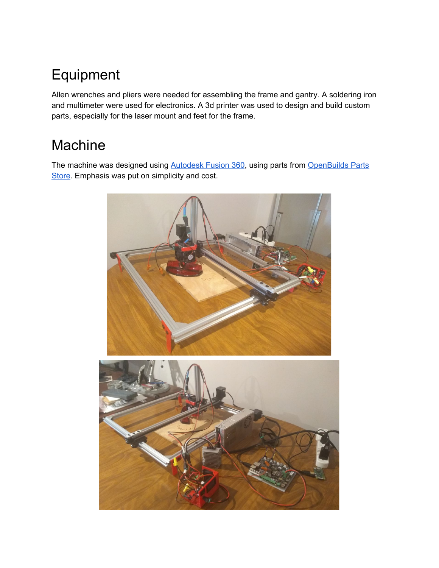## Equipment

Allen wrenches and pliers were needed for assembling the frame and gantry. A soldering iron and multimeter were used for electronics. A 3d printer was used to design and build custom parts, especially for the laser mount and feet for the frame.

## Machine

The machine was designed using [Autodesk](https://www.autodesk.com/products/fusion-360/overview#banner) Fusion 360, using parts from [OpenBuilds](https://openbuildspartstore.com/) Parts [Store](https://openbuildspartstore.com/). Emphasis was put on simplicity and cost.

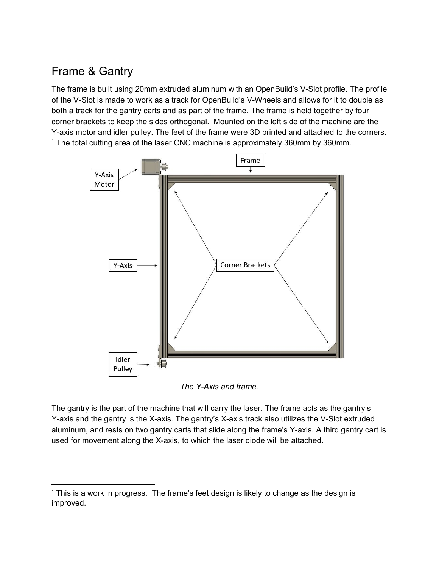#### Frame & Gantry

The frame is built using 20mm extruded aluminum with an OpenBuild's V-Slot profile. The profile of the V-Slot is made to work as a track for OpenBuild's V-Wheels and allows for it to double as both a track for the gantry carts and as part of the frame. The frame is held together by four corner brackets to keep the sides orthogonal. Mounted on the left side of the machine are the Y-axis motor and idler pulley. The feet of the frame were 3D printed and attached to the corners. <sup>1</sup> The total cutting area of the laser CNC machine is approximately 360mm by 360mm.



*The Y-Axis and frame.*

The gantry is the part of the machine that will carry the laser. The frame acts as the gantry's Y-axis and the gantry is the X-axis. The gantry's X-axis track also utilizes the V-Slot extruded aluminum, and rests on two gantry carts that slide along the frame's Y-axis. A third gantry cart is used for movement along the X-axis, to which the laser diode will be attached.

<sup>&</sup>lt;sup>1</sup> This is a work in progress. The frame's feet design is likely to change as the design is improved.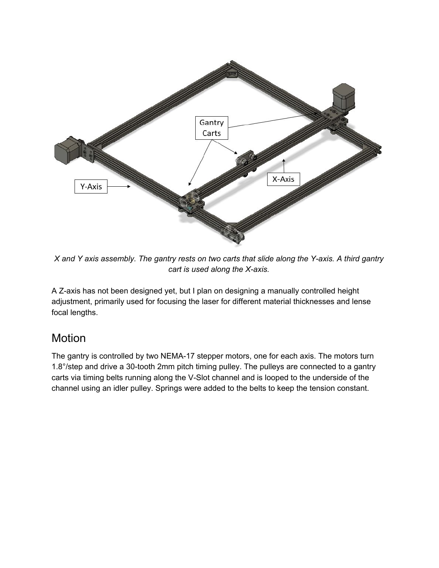

X and Y axis assembly. The gantry rests on two carts that slide along the Y-axis. A third gantry *cart is used along the X-axis.*

A Z-axis has not been designed yet, but I plan on designing a manually controlled height adjustment, primarily used for focusing the laser for different material thicknesses and lense focal lengths.

#### Motion

The gantry is controlled by two NEMA-17 stepper motors, one for each axis. The motors turn 1.8°/step and drive a 30-tooth 2mm pitch timing pulley. The pulleys are connected to a gantry carts via timing belts running along the V-Slot channel and is looped to the underside of the channel using an idler pulley. Springs were added to the belts to keep the tension constant.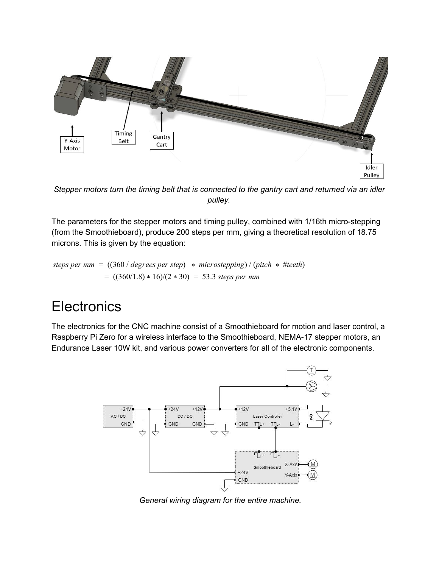

*Stepper motors turn the timing belt that is connected to the gantry cart and returned via an idler pulley.*

The parameters for the stepper motors and timing pulley, combined with 1/16th micro-stepping (from the Smoothieboard), produce 200 steps per mm, giving a theoretical resolution of 18.75 microns. This is given by the equation:

*steps per mm* = ((360 / *degrees per step*) \* *microstepping*) / (*pitch* \* #*teeth*)  $= ((360/1.8) * 16)/(2 * 30) = 53.3$  *steps per mm* 

### **Electronics**

The electronics for the CNC machine consist of a Smoothieboard for motion and laser control, a Raspberry Pi Zero for a wireless interface to the Smoothieboard, NEMA-17 stepper motors, an Endurance Laser 10W kit, and various power converters for all of the electronic components.



*General wiring diagram for the entire machine.*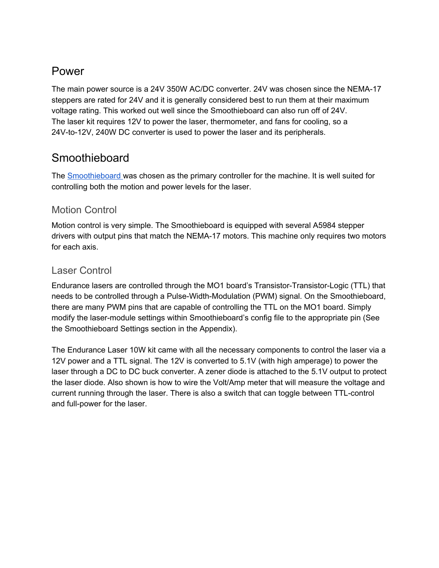#### Power

The main power source is a 24V 350W AC/DC converter. 24V was chosen since the NEMA-17 steppers are rated for 24V and it is generally considered best to run them at their maximum voltage rating. This worked out well since the Smoothieboard can also run off of 24V. The laser kit requires 12V to power the laser, thermometer, and fans for cooling, so a 24V-to-12V, 240W DC converter is used to power the laser and its peripherals.

#### Smoothieboard

The [Smoothieboard](http://smoothieware.org/) was chosen as the primary controller for the machine. It is well suited for controlling both the motion and power levels for the laser.

#### Motion Control

Motion control is very simple. The Smoothieboard is equipped with several A5984 stepper drivers with output pins that match the NEMA-17 motors. This machine only requires two motors for each axis.

#### Laser Control

Endurance lasers are controlled through the MO1 board's Transistor-Transistor-Logic (TTL) that needs to be controlled through a Pulse-Width-Modulation (PWM) signal. On the Smoothieboard, there are many PWM pins that are capable of controlling the TTL on the MO1 board. Simply modify the laser-module settings within Smoothieboard's config file to the appropriate pin (See the Smoothieboard Settings section in the Appendix).

The Endurance Laser 10W kit came with all the necessary components to control the laser via a 12V power and a TTL signal. The 12V is converted to 5.1V (with high amperage) to power the laser through a DC to DC buck converter. A zener diode is attached to the 5.1V output to protect the laser diode. Also shown is how to wire the Volt/Amp meter that will measure the voltage and current running through the laser. There is also a switch that can toggle between TTL-control and full-power for the laser.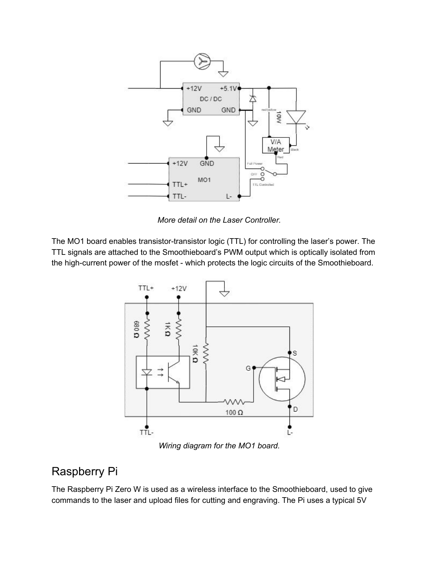

*More detail on the Laser Controller.*

The MO1 board enables transistor-transistor logic (TTL) for controlling the laser's power. The TTL signals are attached to the Smoothieboard's PWM output which is optically isolated from the high-current power of the mosfet - which protects the logic circuits of the Smoothieboard.



*Wiring diagram for the MO1 board.*

#### Raspberry Pi

The Raspberry Pi Zero W is used as a wireless interface to the Smoothieboard, used to give commands to the laser and upload files for cutting and engraving. The Pi uses a typical 5V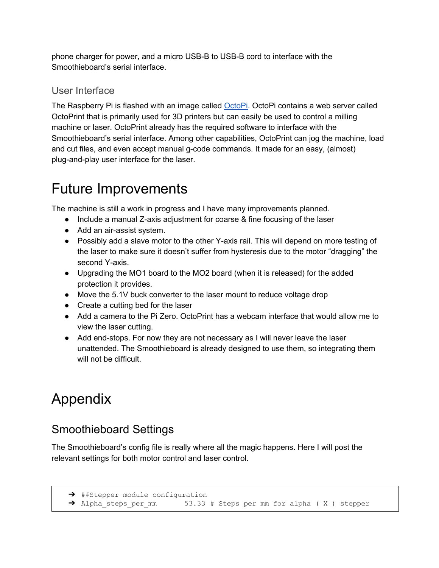phone charger for power, and a micro USB-B to USB-B cord to interface with the Smoothieboard's serial interface.

#### User Interface

The Raspberry Pi is flashed with an image called [OctoPi.](https://octoprint.org/download/) OctoPi contains a web server called OctoPrint that is primarily used for 3D printers but can easily be used to control a milling machine or laser. OctoPrint already has the required software to interface with the Smoothieboard's serial interface. Among other capabilities, OctoPrint can jog the machine, load and cut files, and even accept manual g-code commands. It made for an easy, (almost) plug-and-play user interface for the laser.

## Future Improvements

The machine is still a work in progress and I have many improvements planned.

- Include a manual Z-axis adjustment for coarse & fine focusing of the laser
- Add an air-assist system.
- Possibly add a slave motor to the other Y-axis rail. This will depend on more testing of the laser to make sure it doesn't suffer from hysteresis due to the motor "dragging" the second Y-axis.
- Upgrading the MO1 board to the MO2 board (when it is released) for the added protection it provides.
- Move the 5.1V buck converter to the laser mount to reduce voltage drop
- Create a cutting bed for the laser
- Add a camera to the Pi Zero. OctoPrint has a webcam interface that would allow me to view the laser cutting.
- Add end-stops. For now they are not necessary as I will never leave the laser unattended. The Smoothieboard is already designed to use them, so integrating them will not be difficult.

## Appendix

#### Smoothieboard Settings

The Smoothieboard's config file is really where all the magic happens. Here I will post the relevant settings for both motor control and laser control.

```
→ ##Stepper module configuration
```

```
→ Alpha steps per mm 53.33 # Steps per mm for alpha ( X ) stepper
```